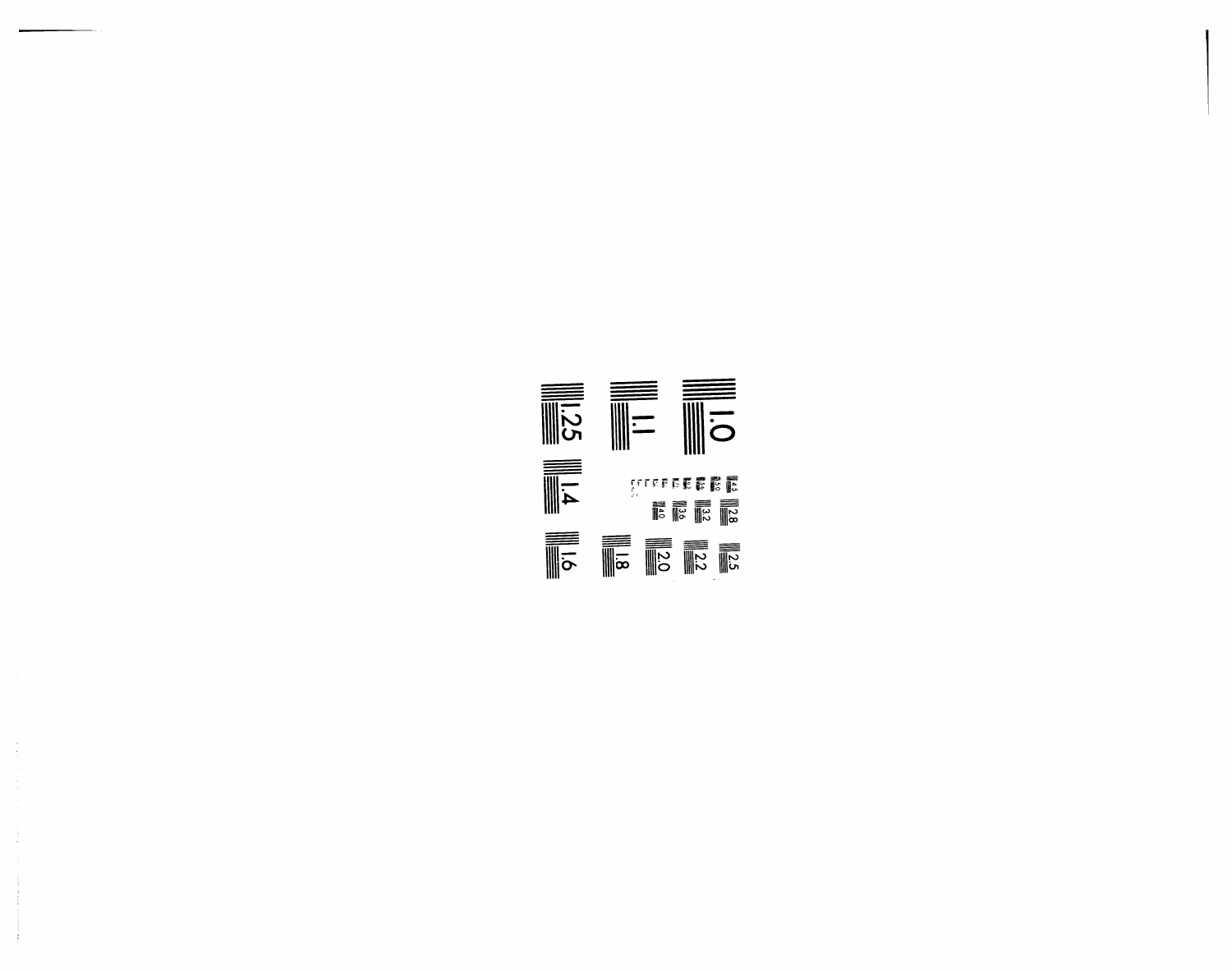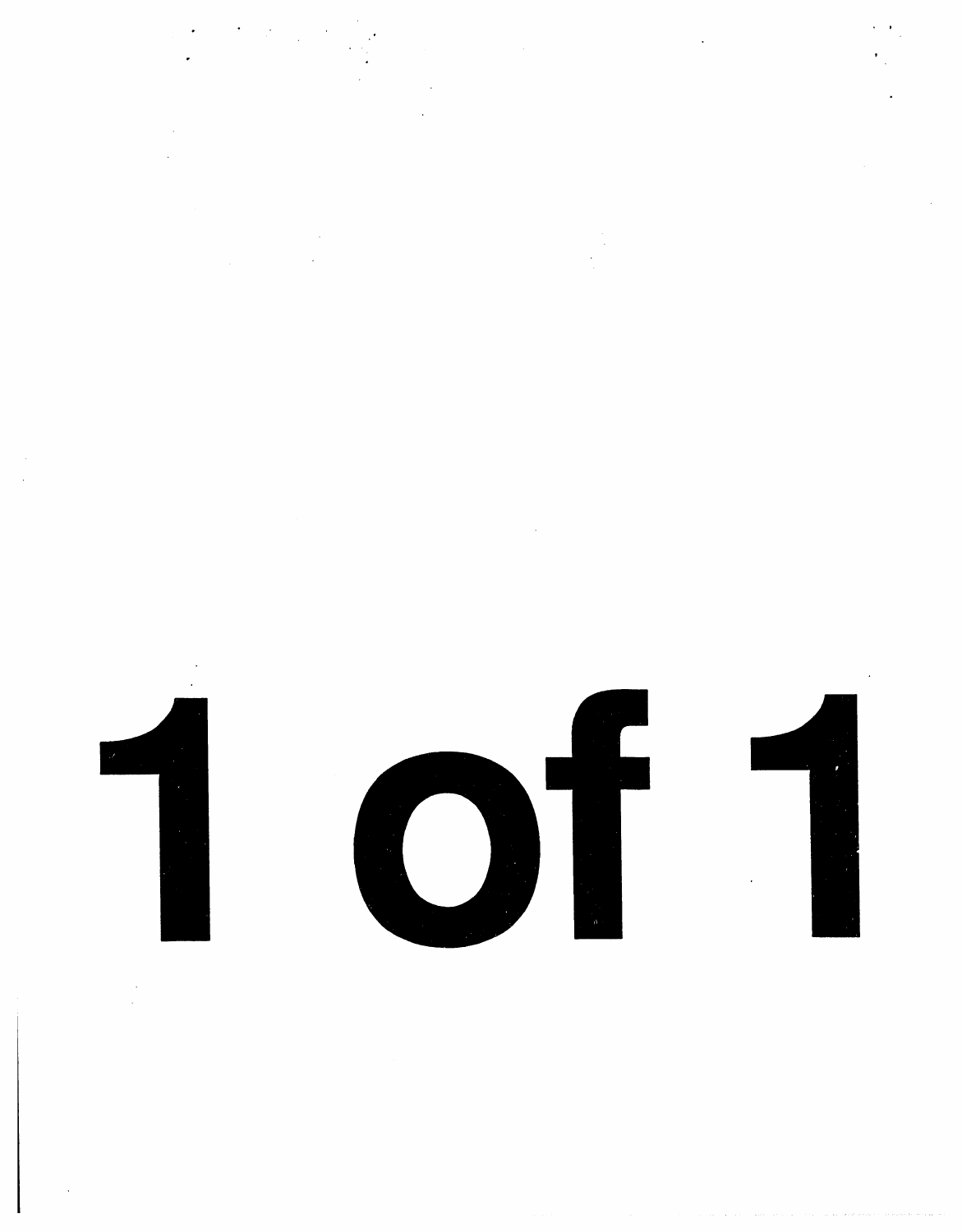$\label{eq:2.1} \mathcal{L}(\mathcal{L}^{\text{max}}_{\mathcal{L}}(\mathcal{L}^{\text{max}}_{\mathcal{L}}))\leq \mathcal{L}(\mathcal{L}^{\text{max}}_{\mathcal{L}}(\mathcal{L}^{\text{max}}_{\mathcal{L}}))$  $\label{eq:2.1} \mathcal{L}_{\mathcal{A}}(\mathcal{A}) = \mathcal{L}_{\mathcal{A}}(\mathcal{A}) = \mathcal{L}_{\mathcal{A}}(\mathcal{A})$ 

 $\label{eq:2.1} \mathcal{L}_{\mathcal{A}}(\mathcal{A}) = \mathcal{L}_{\mathcal{A}}(\mathcal{A}) = \mathcal{L}_{\mathcal{A}}(\mathcal{A}) = \mathcal{L}_{\mathcal{A}}(\mathcal{A})$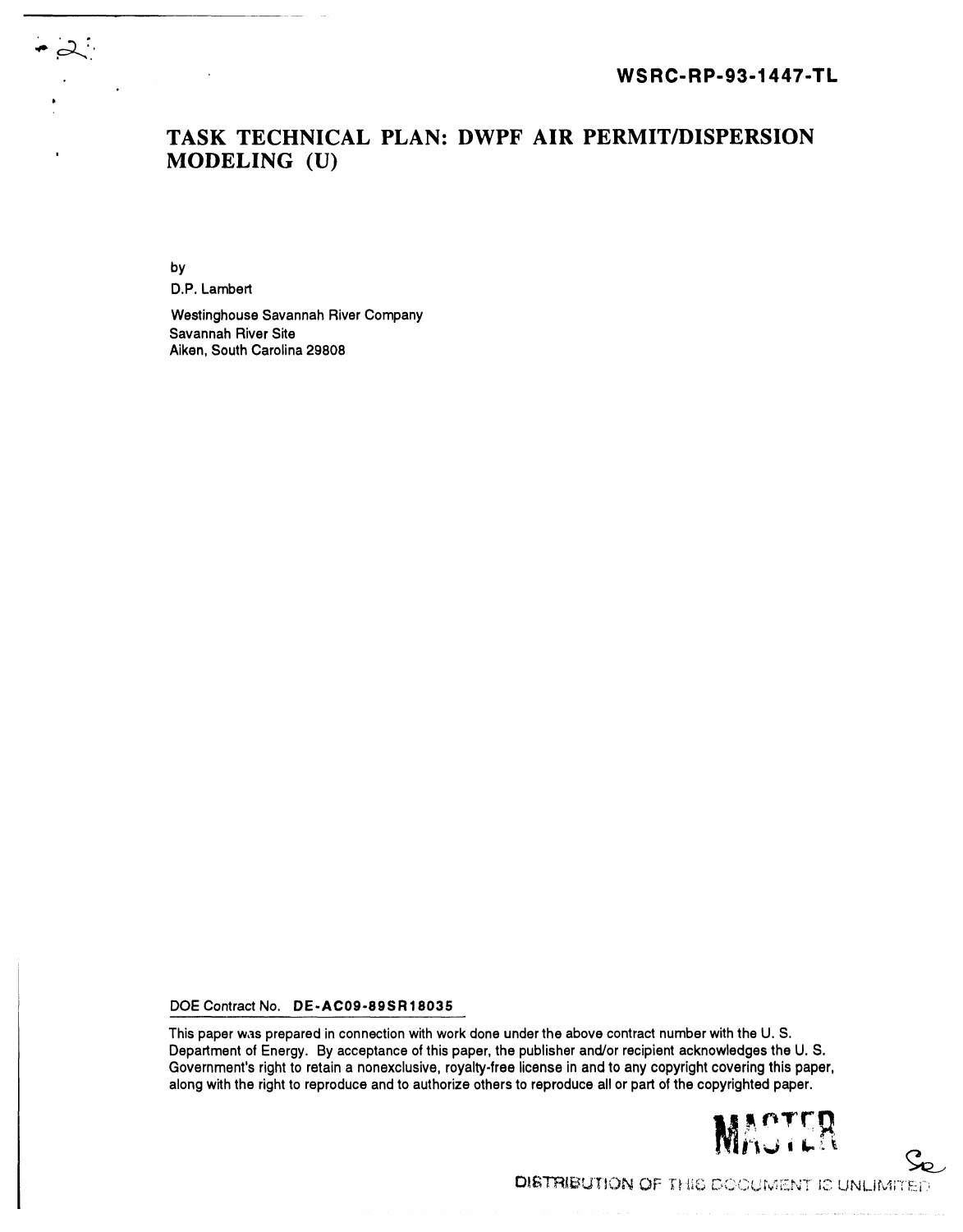# **TASK TECHN**I**CAL PLA**N**: DWPF AIR PERMIT***/***D**IS**PER**S**IO**N **MODE**L**ING (U)**

by

I,

 $\bullet$  2:

D.**P.** L**a**m**b**e**rt**

**W**e**sting**h**ous**e**Sava**nn**a**h Riv**er Co**mp**any Savannah River Site** Aiken, South Carolina 29808

**DOE ContractNo. DE**-**AC09**-**SgSR18035**

**This pap**e**rwaspr**e**par**e**dinconn**e**ctionwithworkdon**e**underth**e **abov**e**contractnumb**e**rwithth**e **U. S. D**e**pa**rtme**ntof Energy. By acc**e**ptanc**e**o**f **thispaper,th**e **publish**e**rand**/**orr**e**cipientacknowl**e**dg**e**sthe U. S. Government'srightto retaina nonexclusiv**e**royalty-fr ,** ee**lic**e**nsein andto any copyrightcov**e**ringthispaper, alongwithth**e **rightto r**e**produc**e**andto authoriz**e**oth**e**rsto r**e**produc**e**all orparto**f **the copyright**e**dpaper.**



 $\mathcal{C}_{\!\!\mathbf{c}}$  ,

DISTRIBUTION OF THIS DOOUMENT IS UNLIMITED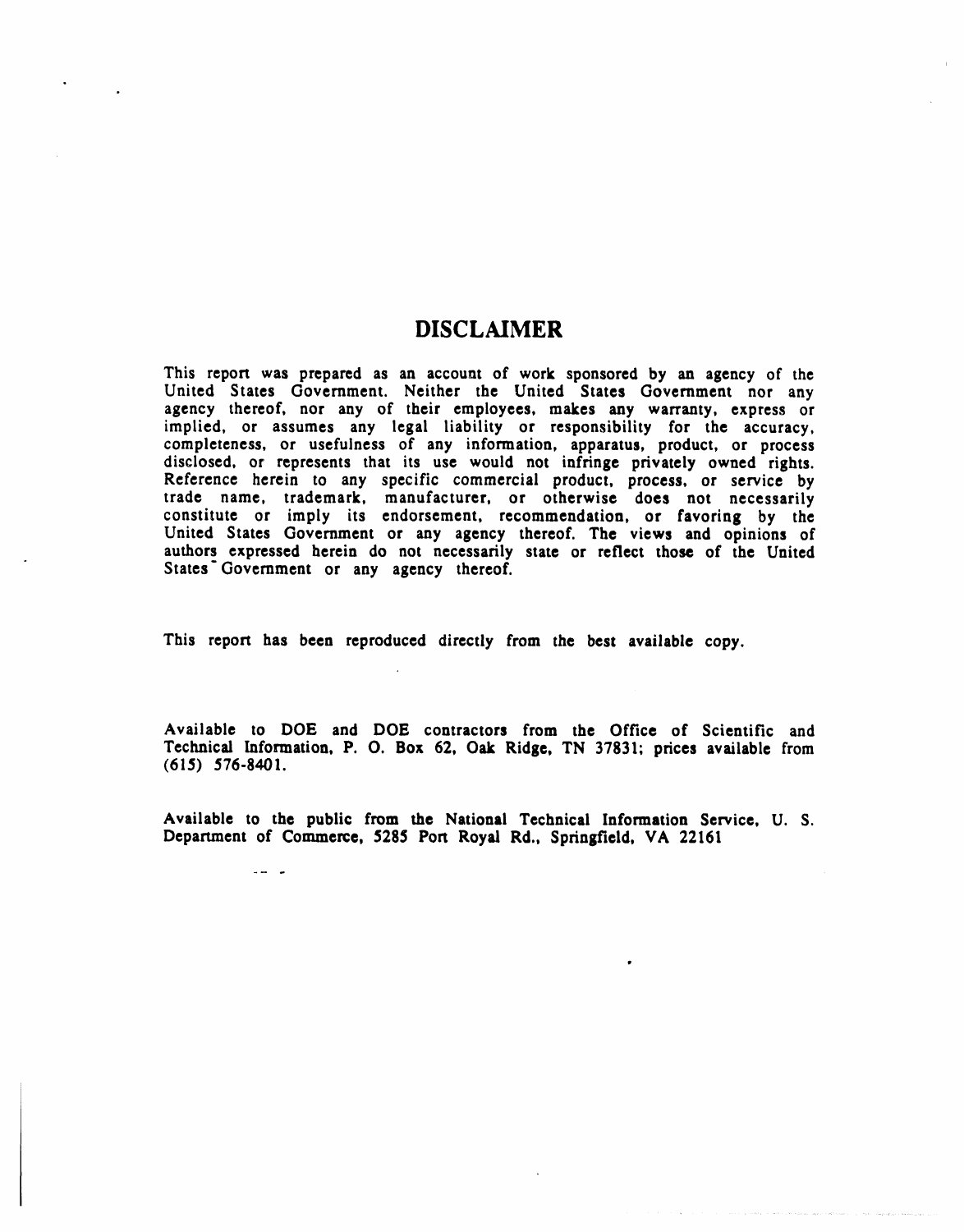# **DISCLAIMER**

This repo*n* **was prepared as an account of work sponsored by an agency of the United States Government. Neither the Uni**t**ed Sta**t**es Gove**rn**ment nor any agency thereof, nor any of their employees, makes any warran**t**y, express or implied, or assumes any legal liability or responsibili**t**y for the accuracy,** c**omple**t**eness, or usefulness of any informa**t**io**n**, apparatus, produc**t**, or pro***c***ess dis***c***losed, or represents that i**t**s use would not inf**ri**nge priva**t**ely owned righ**t**s. Reference herein** t**o any spe***c***ifi***c c***ommercial produc**t**, process, or service by trade name, trademark,** m**anufacturer, or otherwise does no**t **necessarily** c**ons**t**i**t**u**t**e or imply i**t**s endorsement, recommenda**t**ion, or favoring by the Uni**t**ed States Gove**rn**ment or** an**y agency thereof. Th**e **views and opinions of authors expressed herein do not necessarily s**t**ate or reflect those of the United S**t**at**e**s'Govern**m**ent or any agency thereof.**

**This r**e**po***rt* **has been reproduced directly from the best available copy.**

**Available to DOE and DOE contractors from the Office of Scientific and Technical Inform**a**tion, P. O. Bo**x **62, Oak Ridge, TN 37831; prices** a**vail**a**ble from (61**5**) 576-8**4**01.**

**Available to the public f**ro**m** th**e National Technical Info**rm**ation Se**rv**ice, U. S. Department of Commerce***,* **528**5 **Po***rt* **Royal Rd., Sp**ri**ng**fi**eld***,* **VA 22161**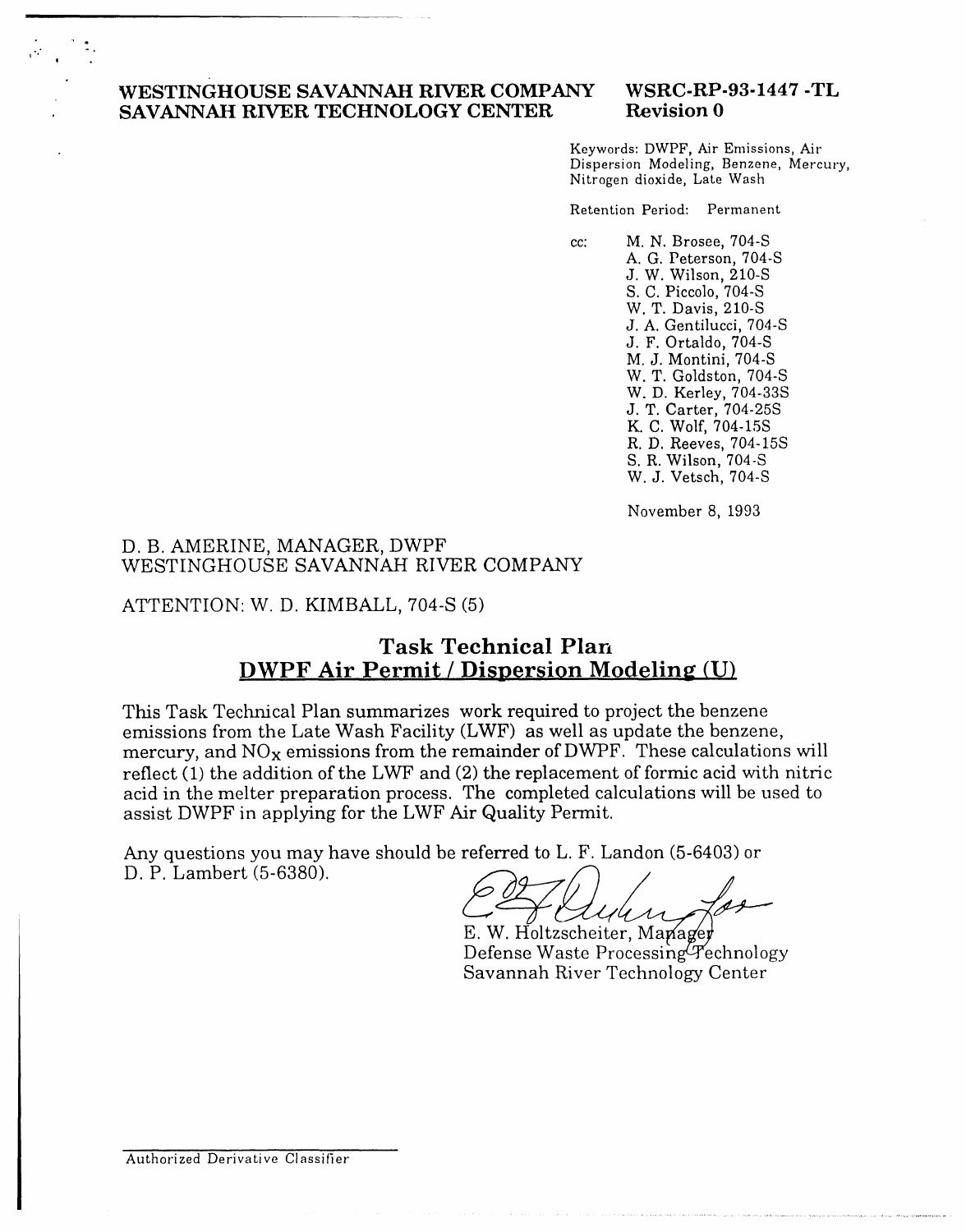#### W**ES**TI**NGHOUSE SA**V**ANN**A**H RIVER C**O**MPANY** W**SRC**-**RP**-**93**-**1447 -TL SAVANNAH RIVER TECHNOLOGY CENTER**

I**o**, ° I

Keywords: DWP**F***,* Air Em**i**ssions*,* Air Dispersion Modeling, Benzene, Me*r*cury, Nitrogen dioxide*,* Late Wash

Retention Period: Permanent

cc: M.N. Brosee, 704-S A. G. Peterson, 704-S J. W. Wilson, 210-S S. C. Piccolo, 704-S W. T. Davis, 210-S J. A. Gentilucci, 704-S J. F. Ortaldo, 704-S M. J. Montini, 704-S W. T. Goldston, 704-S W. D. Kerley, 704-33S J. T. Carter, 704-25S K. C. Wolf, 704-15S R. D. Reeves, 704-15S S. R. Wilson, 704-S W. J. Vetsch, 704-S

November 8, 1993

#### D. B. AMERINE, MANAGER, DWPF WESTINGHOUSE SAVANNAH RIVER COMPANY

ATTENTION: W. D. KIMBALL, 704-S (5)

## Task Technical Plan DWPF Air Permit */ Dispersion Modeling (U)*

This Task Technical Plan summarizes work required to project the benzene emissions from the Late Wash Facility (LWF) as well as update the benzene, mercury, and  $NO<sub>x</sub>$  emissions from the remainder of DWPF. These calculations will reflect (1) the addition of the LWF and (2) the replacement of formic acid with nitric acid in the melter preparation process. The completed calculations will be used to assist DWPF in appl**y**ing for the LWF Air Quality Permit.

Any questions you may have should be referred to L. F. Landon (5-6403) or D. P. Lambert (5-6380).

E. W. Holtzscheiter, Manager Defense Waste Processing Fechnology Savannah River Technolog**y** Center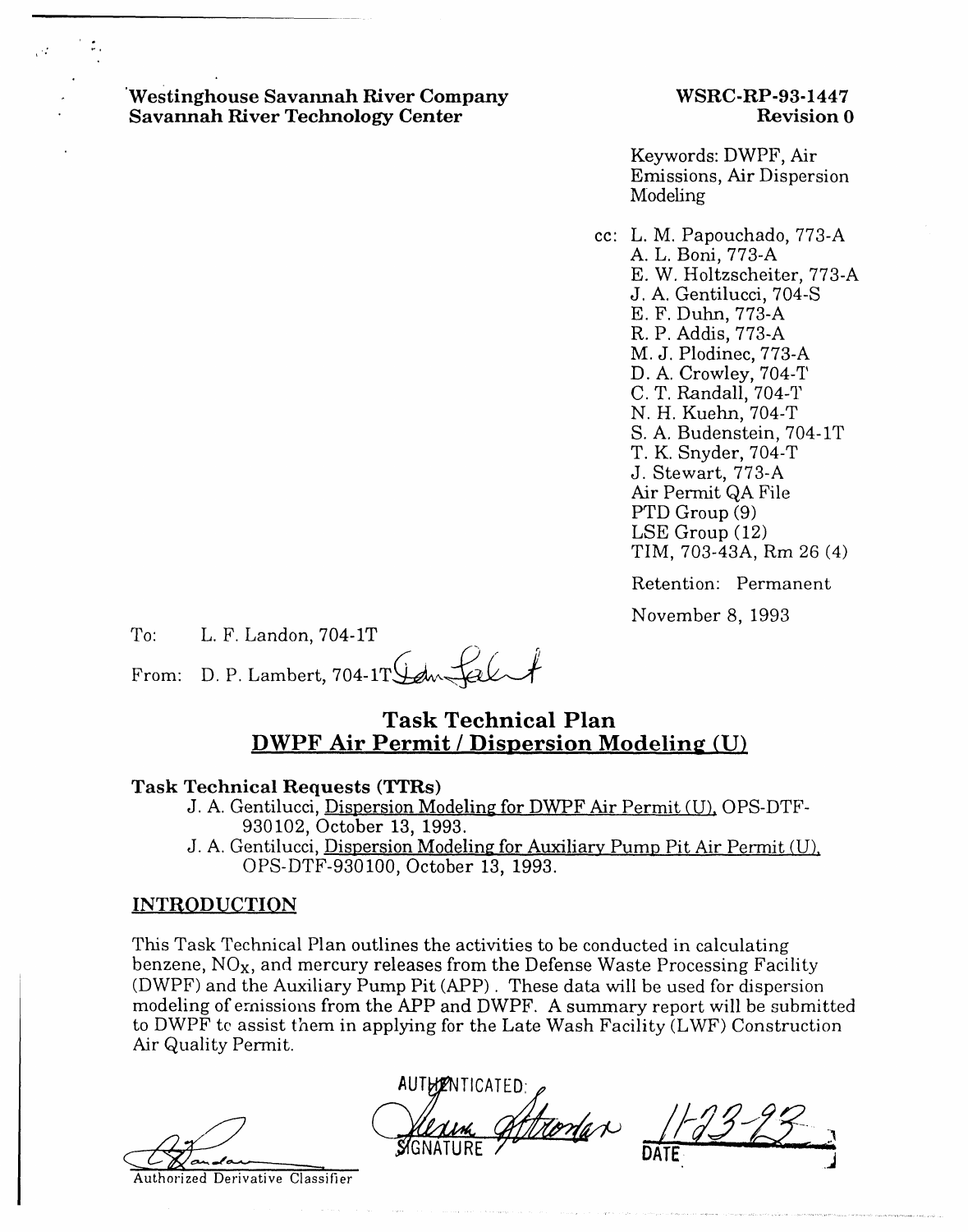'We**st**ing**ho**u**se S**a**v**alm**ah Ri**v**e**r **C**o**mpany WS**R**C-**R**P-93**-14**47 Savannah** River **Technology** Center

K**eyw0r**ds: DW**PF***,* **A**ir Emissions, Air Dispersion Modeling

cc: L.M. Papouchado, 773-A A. L. Boni, 773-A E. W. Holtzscheiter*,* 773-A J. A. Gentilucci, 704-S E. F. Duhn, 773-A R. P. Addis, 773-A M. J. Plodinec, 773-A D. A. Crowley, 704-T C. T. Randall, 704-T N. H. Kuehn, 704-T S. A. Budenstein, 704-1T T. K. Snyder, 704-T J. Stewart, 773-A Air Permit QA File PTD Group (9) LSE Group (12) TIM, 703-43A, Rm 26 (4) Retention: Permanent November 8, 1993

To: L.F. Landon, 704-1T

 $From: D.P. Lambert, 704-1T 111$ 

# Task Technical Plan DWPF Air Permit */ Dispersion Modeling (U)*

#### Task Technical Requests (TTRs)

- J. A. Gentilucci, Dispersion Modeling for DWPF Air Permit (U), OPS-DTF-930102, October 13, 1993.
- J. A. Gentilucci, Dispersion Modelin\_ for Auxiliary Pump Pit Ai*r Permit (U),* OPS-DTF-930100, O*c*tober 13, 1993.

#### INTRODUCTION

This Task Technical Plan outlines the activities to be conducted in calculating benzene,  $NO<sub>x</sub>$ , and mercury releases from the Defense Waste Processing Facility (DWPF) and the Auxiliary Pump Pit (APP). These data will be used for dispersion modeling of emissions from the APP and DWPF. A summary report will be submitted to DWPF tc assist them in applying for the Late Wash Facility (LWF) Construction Air Quality Permit.

**A**uthorized Der**iv**ative Classifier

AUTHENTICATED:  $\bigcap$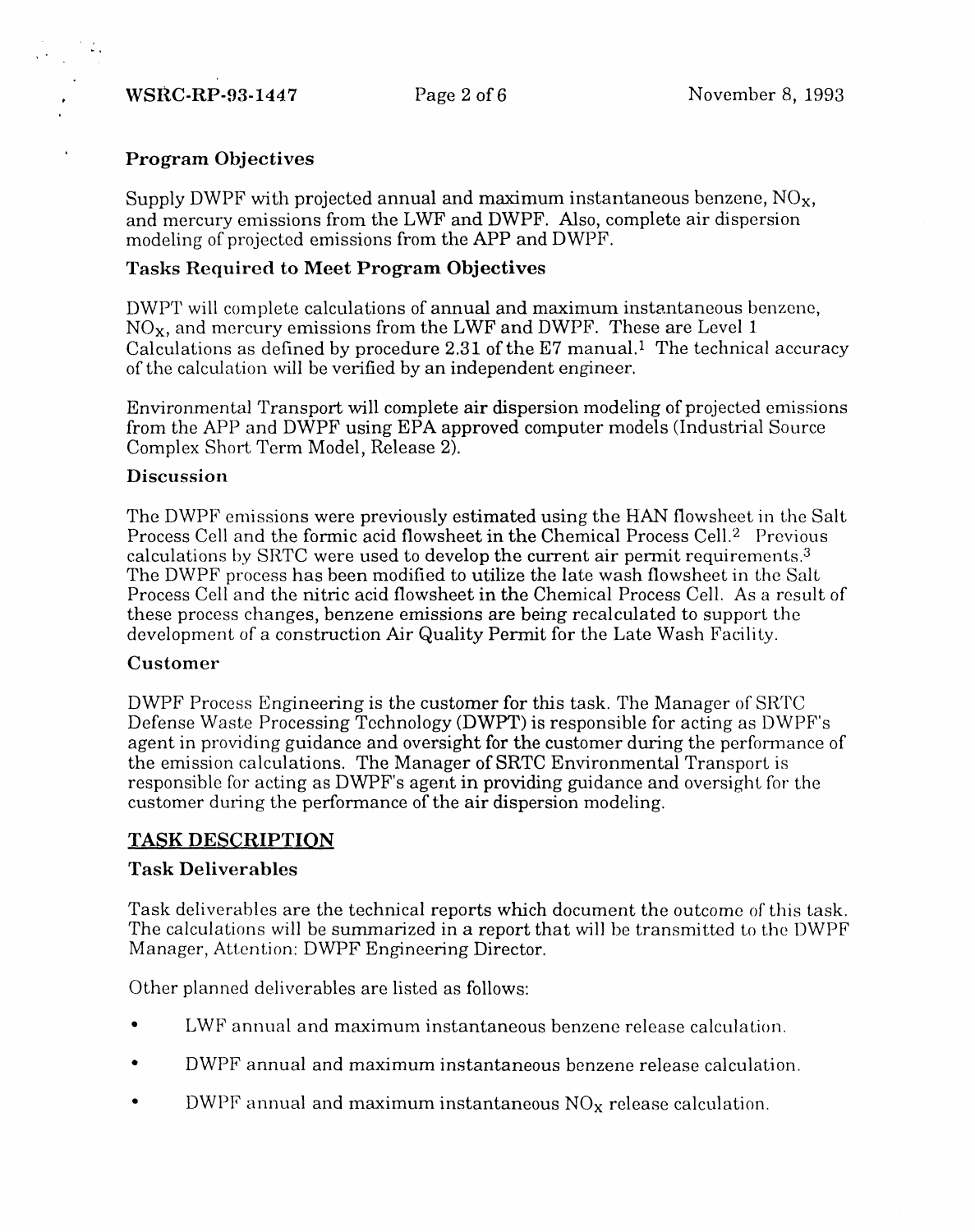# P**rog**r**am** O**bje**cti**ves**

Supply DWPF with projected annual and maximum instantaneous benzene,  $NO<sub>x</sub>$ , and mercury emissions from the LWF and DWPF. Also, complete air dispersion modeling of projected emissions from the APP and DWPF.

## Tasks Required to Meet Program Objectives

DWPT will complete calculations of annual and maximum instantaneous benzene, NOx, and mercury emissions from the LWF and DWPF. These are Level 1 Calculations as defined by procedure 2.31 of the E7 manual.<sup>1</sup> The technical accuracy of the calculation will be verified by an independent engineer.

Environmental Transport will complete air dispersion modeling of projected emissions from the APP and DWPF using EPA approved computer models (Industrial Source Complex Short Term Model, Release 2).

## **D**i**s**cussio**n**

The DWPF emissions were previously esti**m**ated using the HAN flowsheet in the Salt Process Cell and the formic acid flowsheet in the Chemical Process Cell.<sup>2</sup> Previous calculations by SRTC were used to develop the current air permit requirements. 3 The DWPF process has been modified to utilize the late wash flowsheet in the Salt Process Cell and the nitric acid flowsheet in the Chemical Process Cell. As a result of these process changes, benzene emissions are being recalculated to support the development of a *c*onstruction Air Quality Permit for the Late Wash Facility.

#### Customer

DWPF Process Engineering is the customer for this task. The Manager of SRTC Defense Waste Processing Technology (DWPT) is responsible for acting as DWPF's agent in providing guidance and oversight for the customer during the performance of the emission calculations. The Manager of SRTC Environmental Transport is responsible for acting as DWPF's agent in providing guidance and oversight for the customer du**ri**ng the performance of the air dispersion modeling.

## T**ASK DESCRIPTION**

#### Task Deliverables

Task deliverables are the technical reports which document the outcome of this task. The calculations will be summarized in a report that will be transmitted to the DWPF Manager, Attention: DWPF Engineering Director.

Other planned deliverables are listed as follows:

- LWF annual and maximum instantaneous benzene release calcu**l**at**i**on.
- DWPF annual and maximum instantaneous b*e*nzene release calculation.
- DWPF annual and maximum instantaneous  $NO<sub>x</sub>$  release calculation.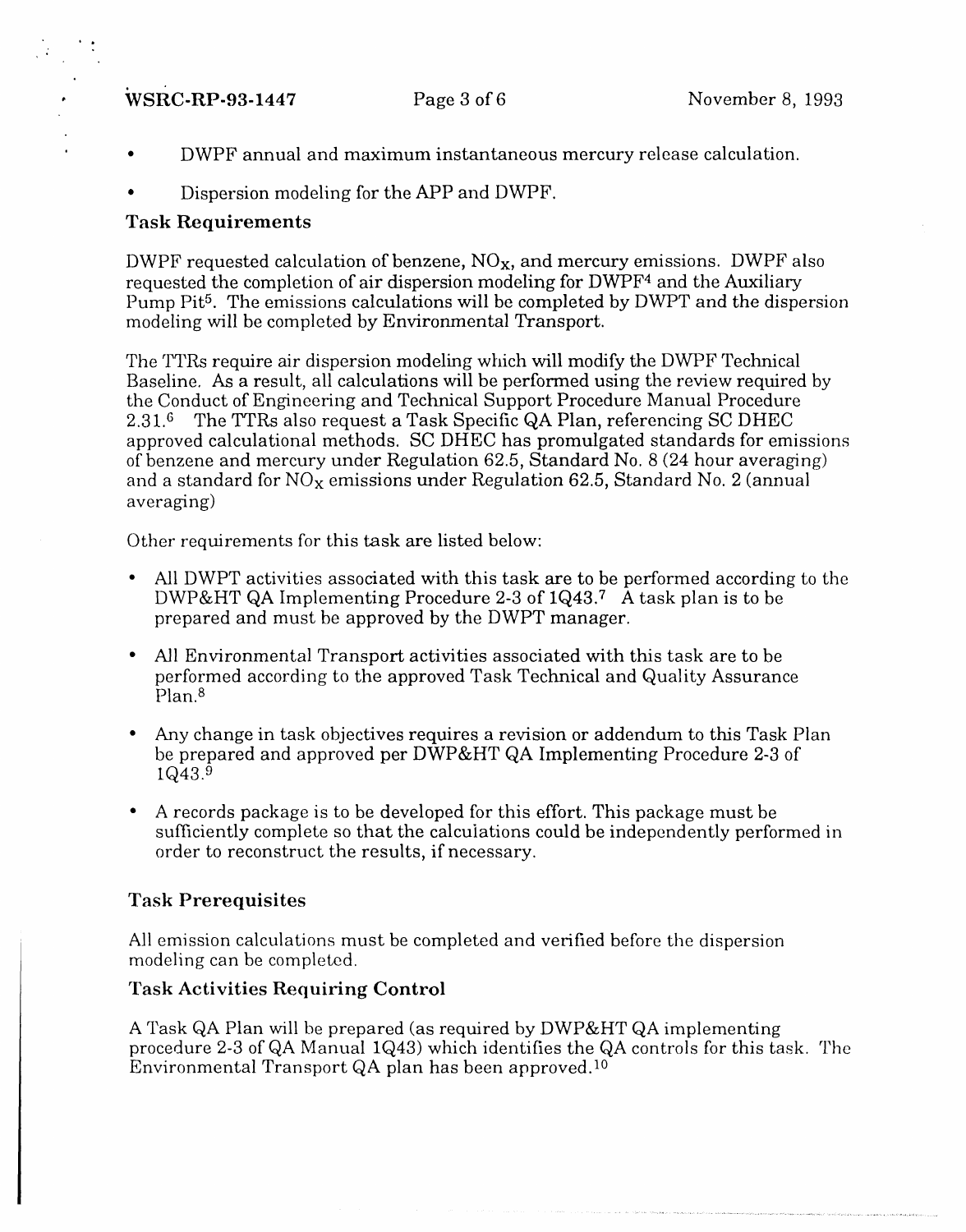#### **WSRC-RP-93-1447** Page 3 of 6 November 8, 1993

'

- DWPF annual and maximum instantaneous mercury release calculation.
- Dispersion modeling for the APP and DWPF.

#### Task Requirements

DWPF requested calculation of benzene,  $NO<sub>x</sub>$ , and mercury emissions. DWPF also requested the completion of air dispersion modeling for DWPF<sup>4</sup> and the Auxiliary Pump Pit<sup>5</sup>. The emissions calculations will be completed by DWPT and the dispersion modeling will be comp**l**eted by Environmental Transport.

The TTRs require air dispersion modeling which will modify the DWPF Technical Baseline. As a result, all calculations will be performed using the review required by the Conduct of Engineering and Technical Support Procedure Manual Procedure  $2.31<sup>6</sup>$  The TTRs also request a Task Specific QA Plan, referencing SC DHEC approved calculational methods. SC DHEC has promulgated standards for emissions of benzene and mercury under Regulation 62.5, Standard No. 8 (*2*4 hour averaging) and a standard for  $NO<sub>x</sub>$  emissions under Regulation 62.5, Standard No. 2 (annual averaging)

Other requirements for this task are listed below:

- All DWPT activities associated with this task are to be performed according to the DWP&HT QA Implementing Procedure 2-3 of  $1Q43$ .<sup>7</sup> A task plan is to be prepared and must be approved by the DWPT manager.
- All Environmental Transport activities associated with this task are to be performed according to the approved Task Technical and Quality Assurance Plan.<sup>8</sup>
- Any change in task objectives requires a revision or addendum to this Task Plan be prepared and approved per DWP&HT QA Implementing Procedure 2-3 of 1Q43. 9
- A records package is to be developed for this effort. This package must be sufficiently complete so that the calculations could be independently performed in order to reconstruct the results, if necessary.

#### Tas**k** Prerequisites

All emission calculations must be completed and verified before the dispersion modeling can be completed.

#### Task Activities Requiring Control

A Task QA Plan will be prepared (as required by DWP&HT QA implementing procedure 2-3 of QA Manual 1Q43) which identifies the QA controls for this task. The Environmental Transport QA plan has been approved.<sup>10</sup>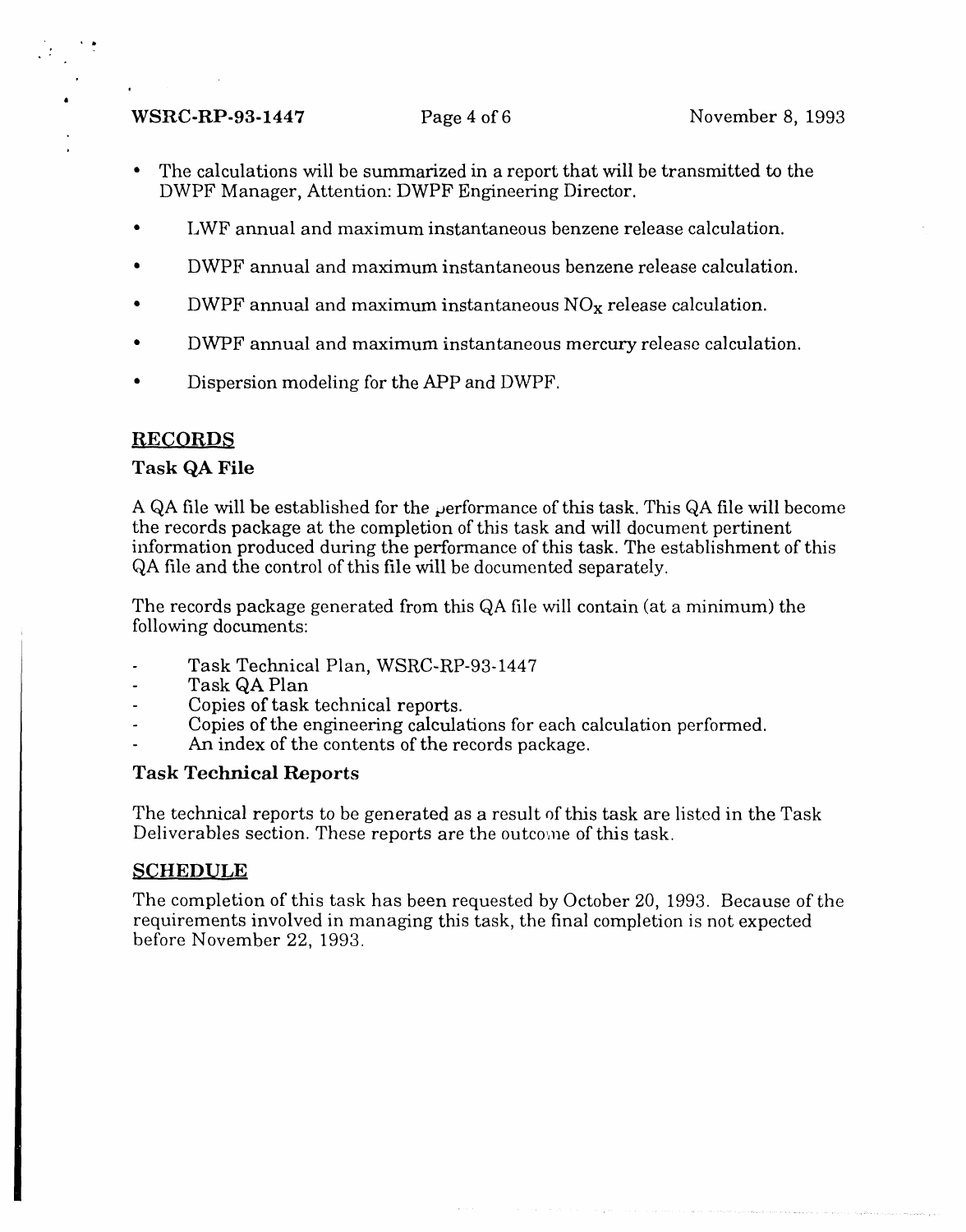WSRC-RP-93-1447 Page 4 of 6 November 8, 1993

I

- The calculations will be summarized in a report that will be transmitted to the DWPF Manager, Attention: DWPF Engineering Director.
- LWF annual and maximum instantaneous benzene release calculation.
- DWPF annual and maximum instantaneous benzene release calculation.
- DWPF annual and maximum instantaneous  $NO<sub>x</sub>$  release calculation.
- DWPF annual and maximum instantaneous mercury release calculation.
- Dispersion modeling for the APP and DWPF.

## **RECORDS**

#### Task QA File

A QA file will be established for the *p*erformance of this task. This QA file will become the records package at the completion of this task and will document pertinent information produced during the performance of this task. The establishment of this QA file and the control of this file will be documented separately.

The records package generated from this QA file will contain (at a minimum) the following documents:

- Task Technical Plan, WSRC-RP-93-1447
- Task QA Plan
- Copies of task technical reports.
- Copies of the engineering calculations for each calculation performed.
- An index of the contents of the records package.

#### T**ask** Te**chnical Reports**

The technical reports to be generated as a result of this task are listed in the Task Deliverables section. These reports are the outcome of this task.

#### **SCHEDULE**

The completion of this task has been requested by October 20, 1993. Because of the requirements involved in managing this task, the final completion is not expected before November 22, 1993.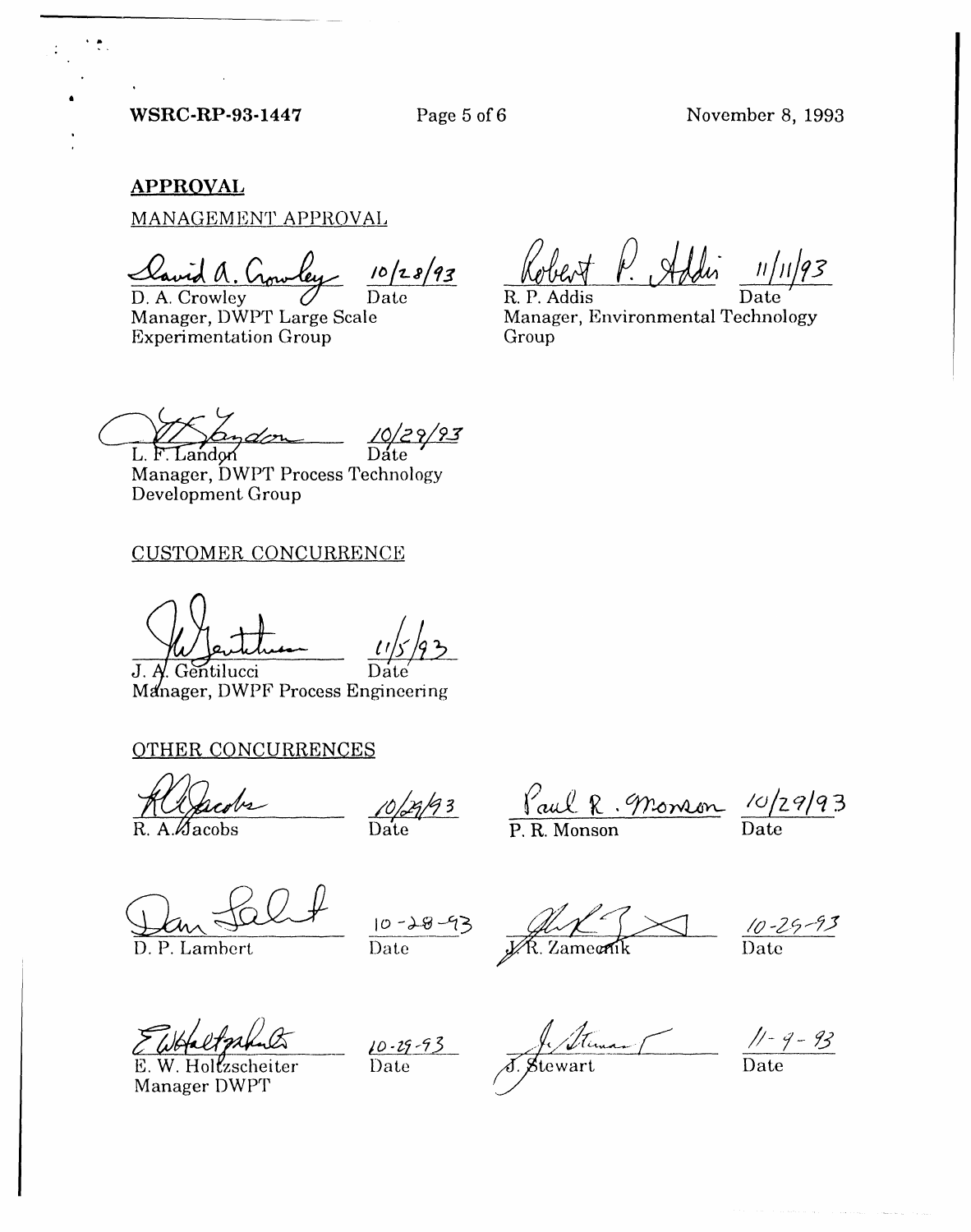WSRC-RP-93-1447 Page 5 of 6 November 8, 1993

# APPROVAl*,*

*MANAG*EMENT APPROVAl,

Crowley

Manager, DWPT Large Scale Manager, Manager, Manager, environmental Technology of Manager, and Technology and Te<br>
Here is the Group Group Experimentation Group

<u>Cavid A. Crowley 10/28/93</u> Kobert V. Addis 11/11/93<br>D. A. Crowley Date R. P. Addis Date Date<br>Manager, DWPT Large Scale Manager, Environmental Technology

don

L. F. Landon Dat Manager, DWPT Process Technology Development Group

#### CUSTOMER CONCURRENCE

J. A. Gentilucci  $_{\rm Dat}$ Manager, DWPF Process Engineering

## OTHER CONCURRENCES

Gacobs Date P.R. Monson  $\frac{10/29/93}{P.R.Monson}$  Date

 $\frac{1}{D}$  Delt  $\frac{10-28-93}{Data}$   $\frac{20}{40}$   $\frac{10-2}{Data}$ 

Manager DWPT

 $\frac{\sum \mathcal{W}}{\text{Left}}$ <br>E. W. Holtzscheiter Date J. Stewart Date Date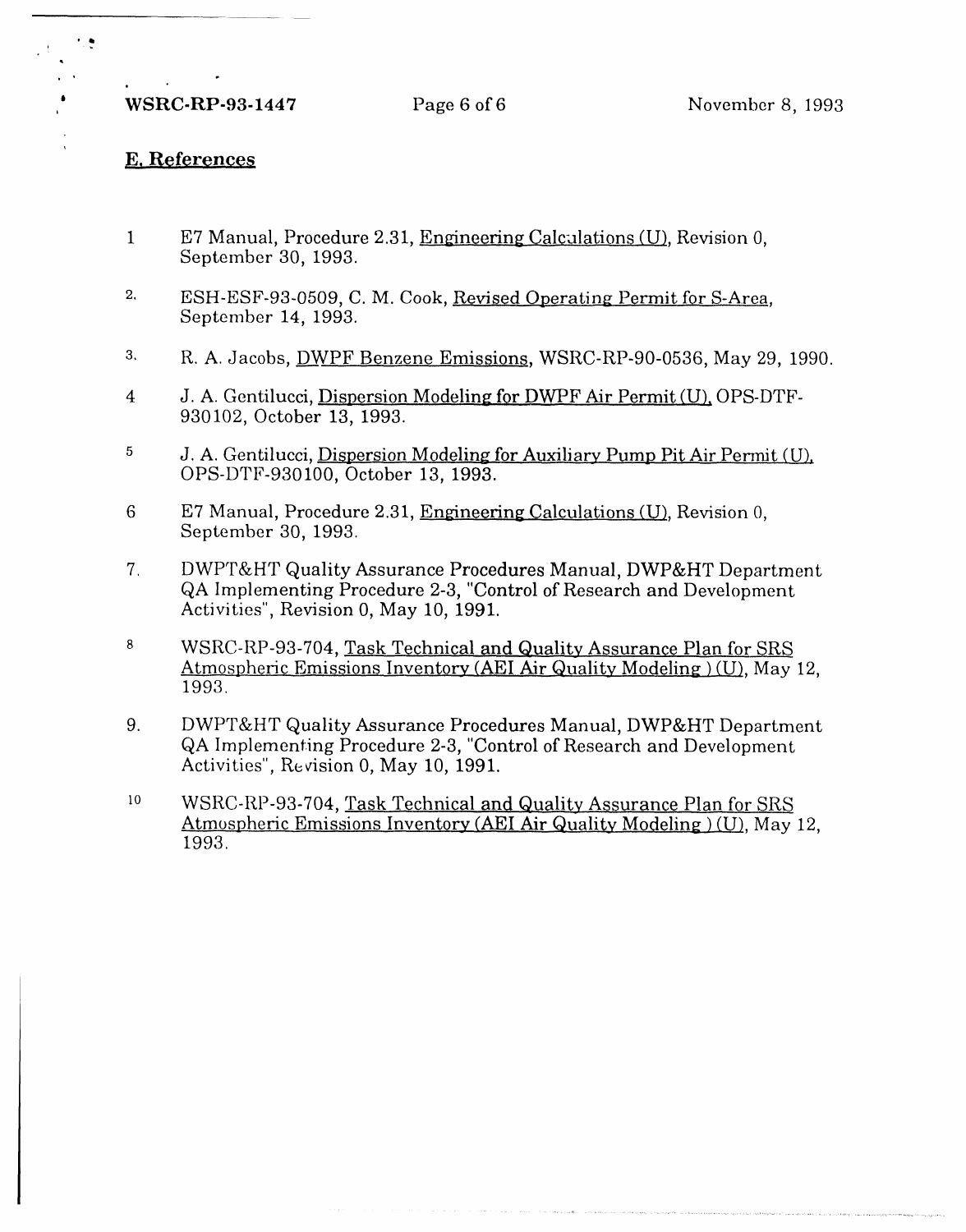$WSRC-RP-93-1447$  Page 6 of 6 November 8, 1993

## .E, References

 $\ddot{\phantom{1}}$ 

- 1 E7 Manual, Procedure 2.31, *Engineering Calculations (U), Revision 0,* September 30*,* 1993.
- <sup>2.</sup> ESH-ESF-93-0509, C. M. Cook, Revised Operating Permit for S-Area, September 14, 1993.
- 3. R.A. Jacobs, DWPF Benzene Emissions, WSRC-RP-90-0536, May 29, 1990.
- 4 J. A. Gentilucci, Dispersion Modeling for DWPF Air Permit (U), OPS-DTF-930102, October 13, 1993.
- 5 J.A. Gentilucci, Dispersion Modeling for Auxiliary Pump Pit Air Permit (U), OPS-DTF-930100*,* October 13*,* 1993.
- 6 E7 Manual*,* Procedure 2.31*, En*gineering Calculations (U)*,* Revision 0*,* September 30*,* 1993.
- 7. DWPT&H*T* Quality Assurance Procedures Manual*,* DWP&HT Department QA Implementing Procedure 2-3*,* "Control of Research and Development Activities"*,* Revision 0*,* May 10*,* 1991.
- s WSRC-RP-93-704, Task Technical and Quality Assurance Pla**n for SRS Atmospheric Emissions Inventory\_ (AEI Air Quality Modeling ) (U),** May 12, 1993.
- 9. DWPT&HT Quality Assurance Procedures Manual, DWP&HT Department QA Implementing Procedure 2-3*,* "Control of Research and Development Activities"*,* Re\_ision 0*,* May 10*,* 1991.
- 10 WSRC-RP-93-704, Task Technical and Quality Assurance Plan for SRS Atmospheric Emissions Inventor**y (AEI Air Quality Modeling ) (U),** May 1*2*, 1993.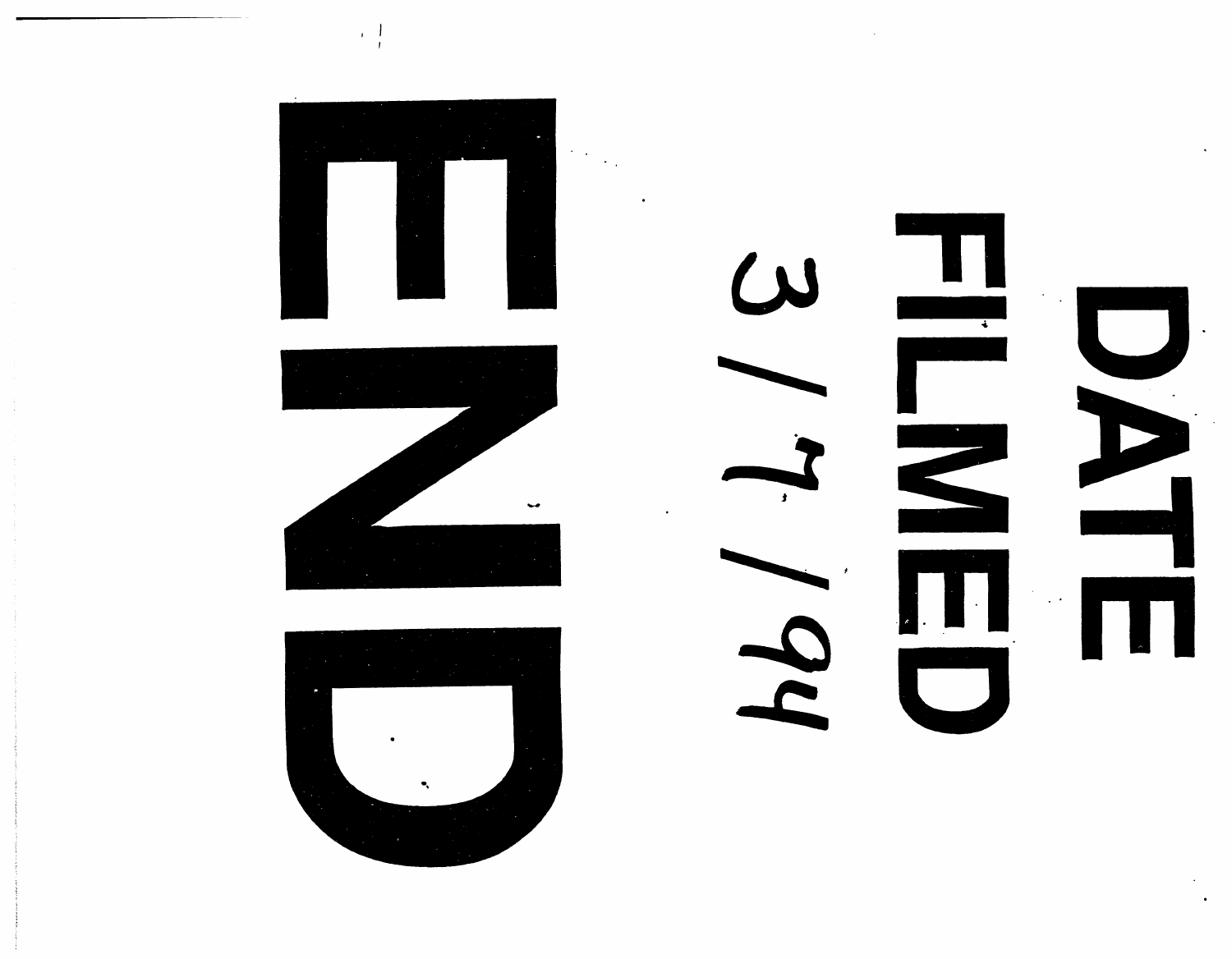